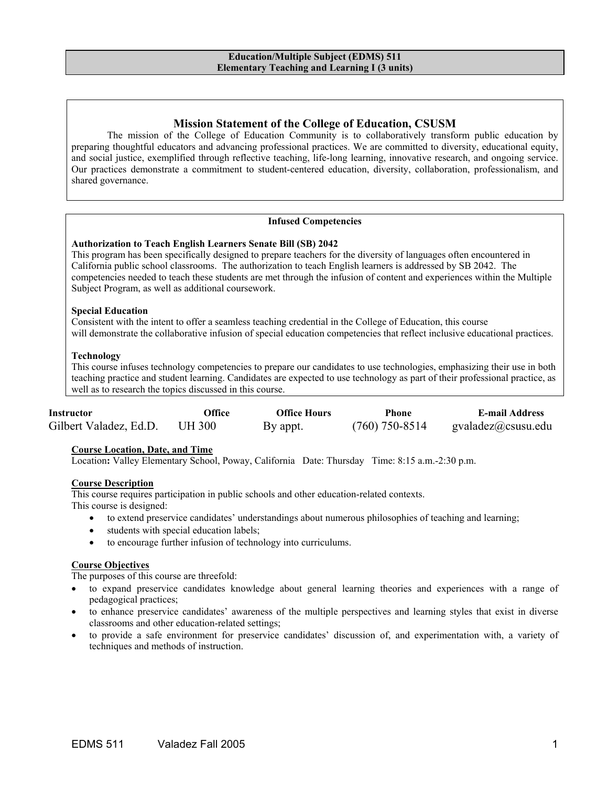# **Mission Statement of the College of Education, CSUSM**

The mission of the College of Education Community is to collaboratively transform public education by preparing thoughtful educators and advancing professional practices. We are committed to diversity, educational equity, and social justice, exemplified through reflective teaching, life-long learning, innovative research, and ongoing service. Our practices demonstrate a commitment to student-centered education, diversity, collaboration, professionalism, and shared governance.

#### **Infused Competencies**

#### **Authorization to Teach English Learners Senate Bill (SB) 2042**

This program has been specifically designed to prepare teachers for the diversity of languages often encountered in California public school classrooms. The authorization to teach English learners is addressed by SB 2042. The competencies needed to teach these students are met through the infusion of content and experiences within the Multiple Subject Program, as well as additional coursework.

#### **Special Education**

Consistent with the intent to offer a seamless teaching credential in the College of Education, this course will demonstrate the collaborative infusion of special education competencies that reflect inclusive educational practices.

#### **Technology**

This course infuses technology competencies to prepare our candidates to use technologies, emphasizing their use in both teaching practice and student learning. Candidates are expected to use technology as part of their professional practice, as well as to research the topics discussed in this course.

| <b>Instructor</b>      | Office        | <b>Office Hours</b> | Phone            | <b>E-mail Address</b>          |
|------------------------|---------------|---------------------|------------------|--------------------------------|
| Gilbert Valadez, Ed.D. | <b>UH 300</b> | By appt.            | $(760)$ 750-8514 | $\text{gvaladez}(a)$ csusu.edu |

#### **Course Location, Date, and Time**

Location**:** Valley Elementary School, Poway, California Date: Thursday Time: 8:15 a.m.-2:30 p.m.

#### **Course Description**

This course requires participation in public schools and other education-related contexts. This course is designed:

- to extend preservice candidates' understandings about numerous philosophies of teaching and learning;
- students with special education labels;
- to encourage further infusion of technology into curriculums.

#### **Course Objectives**

The purposes of this course are threefold:

- to expand preservice candidates knowledge about general learning theories and experiences with a range of pedagogical practices;
- to enhance preservice candidates' awareness of the multiple perspectives and learning styles that exist in diverse classrooms and other education-related settings;
- to provide a safe environment for preservice candidates' discussion of, and experimentation with, a variety of techniques and methods of instruction.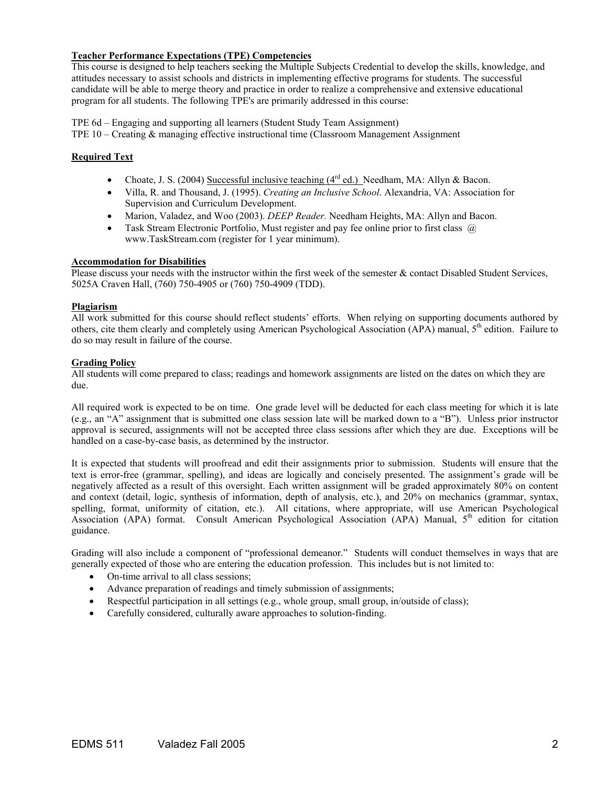#### **Teacher Performance Expectations (TPE) Competencies**

This course is designed to help teachers seeking the Multiple Subjects Credential to develop the skills, knowledge, and attitudes necessary to assist schools and districts in implementing effective programs for students. The successful candidate will be able to merge theory and practice in order to realize a comprehensive and extensive educational program for all students. The following TPE's are primarily addressed in this course:

TPE 6d – Engaging and supporting all learners (Student Study Team Assignment) TPE 10 – Creating & managing effective instructional time (Classroom Management Assignment

## **Required Text**

- Choate, J. S. (2004) Successful inclusive teaching  $(4^{rd}$  ed.) Needham, MA: Allyn & Bacon.
- Villa, R. and Thousand, J. (1995). *Creating an Inclusive School*. Alexandria, VA: Association for Supervision and Curriculum Development.
- Marion, Valadez, and Woo (2003). *DEEP Reader.* Needham Heights, MA: Allyn and Bacon.
- Task Stream Electronic Portfolio, Must register and pay fee online prior to first class  $\omega$ www.TaskStream.com (register for 1 year minimum).

#### **Accommodation for Disabilities**

Please discuss your needs with the instructor within the first week of the semester & contact Disabled Student Services, 5025A Craven Hall, (760) 750-4905 or (760) 750-4909 (TDD).

#### **Plagiarism**

All work submitted for this course should reflect students' efforts. When relying on supporting documents authored by others, cite them clearly and completely using American Psychological Association (APA) manual,  $5<sup>th</sup>$  edition. Failure to do so may result in failure of the course.

#### **Grading Policy**

All students will come prepared to class; readings and homework assignments are listed on the dates on which they are due.

All required work is expected to be on time. One grade level will be deducted for each class meeting for which it is late (e.g., an "A" assignment that is submitted one class session late will be marked down to a "B"). Unless prior instructor approval is secured, assignments will not be accepted three class sessions after which they are due. Exceptions will be handled on a case-by-case basis, as determined by the instructor.

It is expected that students will proofread and edit their assignments prior to submission. Students will ensure that the text is error-free (grammar, spelling), and ideas are logically and concisely presented. The assignment's grade will be negatively affected as a result of this oversight. Each written assignment will be graded approximately 80% on content and context (detail, logic, synthesis of information, depth of analysis, etc.), and 20% on mechanics (grammar, syntax, spelling, format, uniformity of citation, etc.). All citations, where appropriate, will use American Psychological Association (APA) format. Consult American Psychological Association (APA) Manual, 5<sup>th</sup> edition for citation guidance.

Grading will also include a component of "professional demeanor." Students will conduct themselves in ways that are generally expected of those who are entering the education profession. This includes but is not limited to:

- On-time arrival to all class sessions;
- Advance preparation of readings and timely submission of assignments;
- Respectful participation in all settings (e.g., whole group, small group, in/outside of class);
- Carefully considered, culturally aware approaches to solution-finding.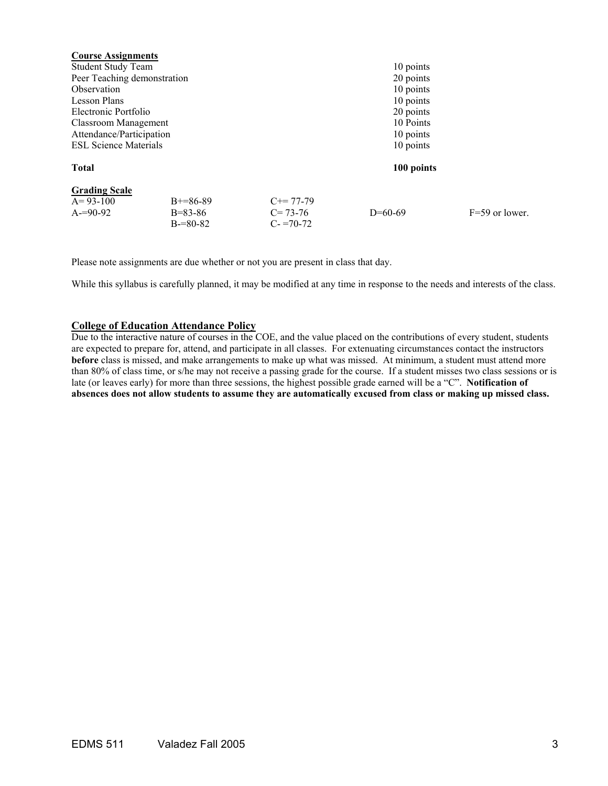| $F=59$ or lower. |
|------------------|
|                  |
|                  |

Please note assignments are due whether or not you are present in class that day.

While this syllabus is carefully planned, it may be modified at any time in response to the needs and interests of the class.

## **College of Education Attendance Policy**

Due to the interactive nature of courses in the COE, and the value placed on the contributions of every student, students are expected to prepare for, attend, and participate in all classes. For extenuating circumstances contact the instructors **before** class is missed, and make arrangements to make up what was missed. At minimum, a student must attend more than 80% of class time, or s/he may not receive a passing grade for the course. If a student misses two class sessions or is late (or leaves early) for more than three sessions, the highest possible grade earned will be a "C". **Notification of absences does not allow students to assume they are automatically excused from class or making up missed class.**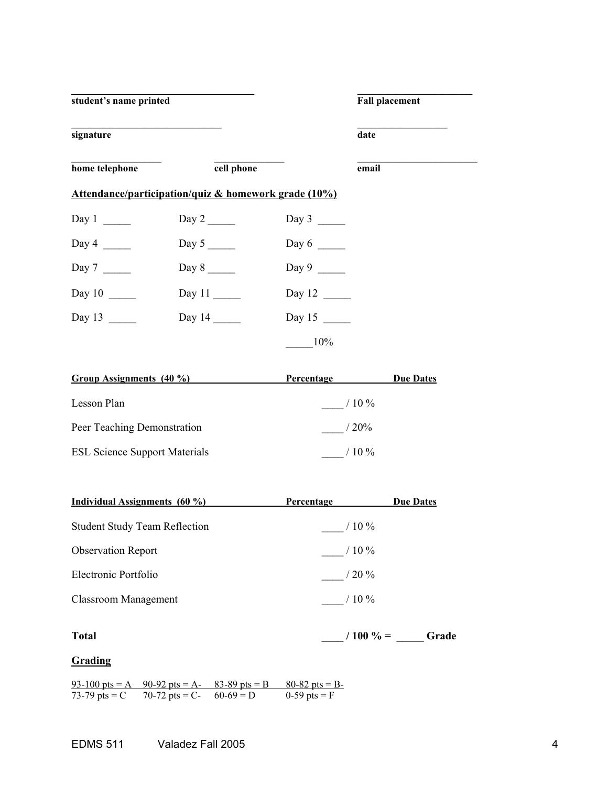| student's name printed |                                                      |                      | <b>Fall placement</b> |
|------------------------|------------------------------------------------------|----------------------|-----------------------|
| signature              |                                                      |                      | date                  |
| home telephone         | cell phone                                           |                      | email                 |
|                        | Attendance/participation/quiz & homework grade (10%) |                      |                       |
| Day 1                  | Day $2 \_\_$                                         | Day 3                |                       |
| Day 4 $\qquad$         |                                                      | Day $6 \_\_$         |                       |
| Day 7                  | Day 8                                                | Day $9 \_$           |                       |
| Day $10$               | Day $11$                                             | Day 12 $\frac{ }{ }$ |                       |
| Day $13$               | Day $14$                                             | Day $15$             |                       |
|                        |                                                      | $10\%$               |                       |

| Group Assignments (40 %)             | Percentage | <b>Due Dates</b> |
|--------------------------------------|------------|------------------|
| Lesson Plan                          | $/10\%$    |                  |
| Peer Teaching Demonstration          | $/20\%$    |                  |
| <b>ESL Science Support Materials</b> | $/10\%$    |                  |

| Individual Assignments (60 %)        | Percentage  | <b>Due Dates</b> |
|--------------------------------------|-------------|------------------|
| <b>Student Study Team Reflection</b> | $/10\%$     |                  |
| <b>Observation Report</b>            | $/10\%$     |                  |
| Electronic Portfolio                 | $/20\%$     |                  |
| Classroom Management                 | $/10\%$     |                  |
| <b>Total</b>                         | $/100 \% =$ | Grade            |

# **Grading**

 $93-100$  pts = A  $90-92$  pts = A-  $83-89$  pts = B  $80-82$  pts = B-73-79 pts = C 70-72 pts = C- 60-69 = D 0-59 pts = F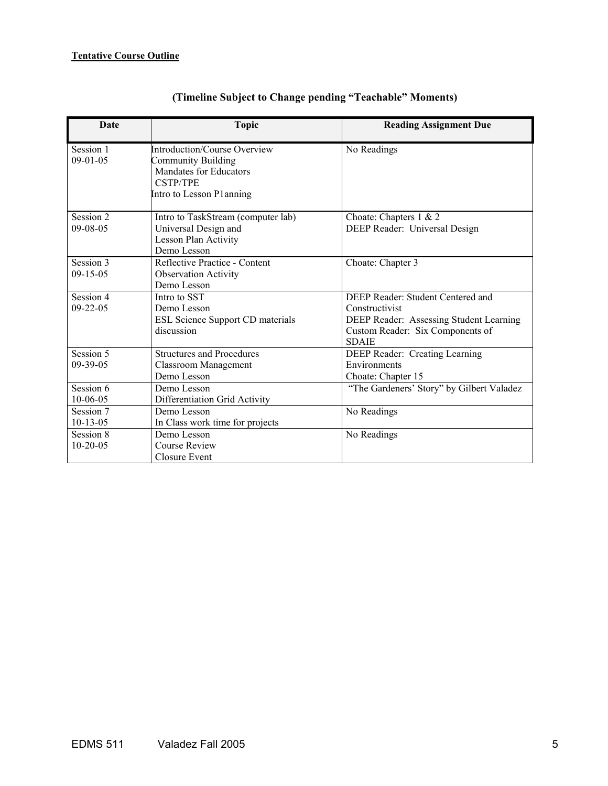| Date           | <b>Topic</b>                                        | <b>Reading Assignment Due</b>                    |
|----------------|-----------------------------------------------------|--------------------------------------------------|
| Session 1      | <b>Introduction/Course Overview</b>                 | No Readings                                      |
| $09-01-05$     | Community Building<br><b>Mandates for Educators</b> |                                                  |
|                | <b>CSTP/TPE</b>                                     |                                                  |
|                | Intro to Lesson Planning                            |                                                  |
|                |                                                     |                                                  |
| Session 2      | Intro to TaskStream (computer lab)                  | Choate: Chapters $1 \& 2$                        |
| $09 - 08 - 05$ | Universal Design and                                | DEEP Reader: Universal Design                    |
|                | Lesson Plan Activity                                |                                                  |
|                | Demo Lesson                                         |                                                  |
| Session 3      | Reflective Practice - Content                       | Choate: Chapter 3                                |
| $09-15-05$     | <b>Observation Activity</b>                         |                                                  |
|                | Demo Lesson                                         |                                                  |
| Session 4      | Intro to SST                                        | DEEP Reader: Student Centered and                |
| $09 - 22 - 05$ | Demo Lesson                                         | Constructivist                                   |
|                | ESL Science Support CD materials                    | DEEP Reader: Assessing Student Learning          |
|                | discussion                                          | Custom Reader: Six Components of<br><b>SDAIE</b> |
| Session 5      | <b>Structures and Procedures</b>                    | DEEP Reader: Creating Learning                   |
| $09-39-05$     | <b>Classroom Management</b>                         | Environments                                     |
|                | Demo Lesson                                         | Choate: Chapter 15                               |
| Session 6      | Demo Lesson                                         | "The Gardeners' Story" by Gilbert Valadez        |
| $10 - 06 - 05$ | Differentiation Grid Activity                       |                                                  |
| Session 7      | Demo Lesson                                         | No Readings                                      |
| $10-13-05$     | In Class work time for projects                     |                                                  |
| Session 8      | Demo Lesson                                         | No Readings                                      |
| $10-20-05$     | <b>Course Review</b>                                |                                                  |
|                | Closure Event                                       |                                                  |

# **(Timeline Subject to Change pending "Teachable" Moments)**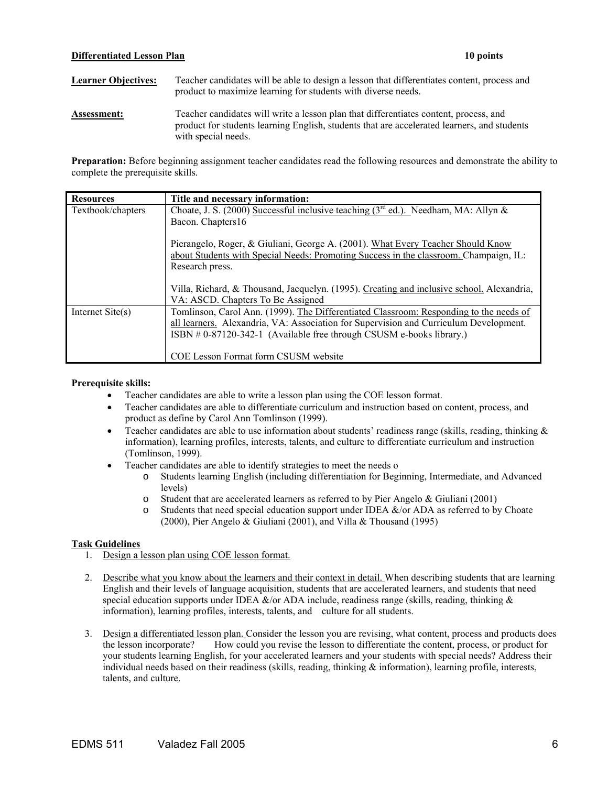#### **Differentiated Lesson Plan** 10 points **10 points**

Learner Objectives: Teacher candidates will be able to design a lesson that differentiates content, process and product to maximize learning for students with diverse needs.

**Assessment:** Teacher candidates will write a lesson plan that differentiates content, process, and product for students learning English, students that are accelerated learners, and students with special needs.

**Preparation:** Before beginning assignment teacher candidates read the following resources and demonstrate the ability to complete the prerequisite skills.

| <b>Resources</b>   | Title and necessary information:                                                                                                                                                                                                                        |
|--------------------|---------------------------------------------------------------------------------------------------------------------------------------------------------------------------------------------------------------------------------------------------------|
| Textbook/chapters  | Choate, J. S. (2000) Successful inclusive teaching ( $3rd$ ed.). Needham, MA: Allyn &                                                                                                                                                                   |
|                    | Bacon. Chapters16                                                                                                                                                                                                                                       |
|                    | Pierangelo, Roger, & Giuliani, George A. (2001). What Every Teacher Should Know<br>about Students with Special Needs: Promoting Success in the classroom. Champaign, IL:<br>Research press.                                                             |
|                    | Villa, Richard, & Thousand, Jacquelyn. (1995). Creating and inclusive school. Alexandria,<br>VA: ASCD. Chapters To Be Assigned                                                                                                                          |
| Internet $Site(s)$ | Tomlinson, Carol Ann. (1999). The Differentiated Classroom: Responding to the needs of<br>all learners. Alexandria, VA: Association for Supervision and Curriculum Development.<br>ISBN # 0-87120-342-1 (Available free through CSUSM e-books library.) |
|                    | COE Lesson Format form CSUSM website                                                                                                                                                                                                                    |

#### **Prerequisite skills:**

- Teacher candidates are able to write a lesson plan using the COE lesson format.
- Teacher candidates are able to differentiate curriculum and instruction based on content, process, and product as define by Carol Ann Tomlinson (1999).
- Teacher candidates are able to use information about students' readiness range (skills, reading, thinking & information), learning profiles, interests, talents, and culture to differentiate curriculum and instruction (Tomlinson, 1999).
- Teacher candidates are able to identify strategies to meet the needs o
	- o Students learning English (including differentiation for Beginning, Intermediate, and Advanced levels)
	- o Student that are accelerated learners as referred to by Pier Angelo & Giuliani (2001)
	- o Students that need special education support under IDEA &/or ADA as referred to by Choate (2000), Pier Angelo & Giuliani (2001), and Villa & Thousand (1995)

#### **Task Guidelines**

- 1. Design a lesson plan using COE lesson format.
- 2. Describe what you know about the learners and their context in detail. When describing students that are learning English and their levels of language acquisition, students that are accelerated learners, and students that need special education supports under IDEA  $\&$ /or ADA include, readiness range (skills, reading, thinking  $&$ information), learning profiles, interests, talents, and culture for all students.
- 3. Design a differentiated lesson plan. Consider the lesson you are revising, what content, process and products does the lesson incorporate? How could you revise the lesson to differentiate the content, process, or product for your students learning English, for your accelerated learners and your students with special needs? Address their individual needs based on their readiness (skills, reading, thinking  $\&$  information), learning profile, interests, talents, and culture.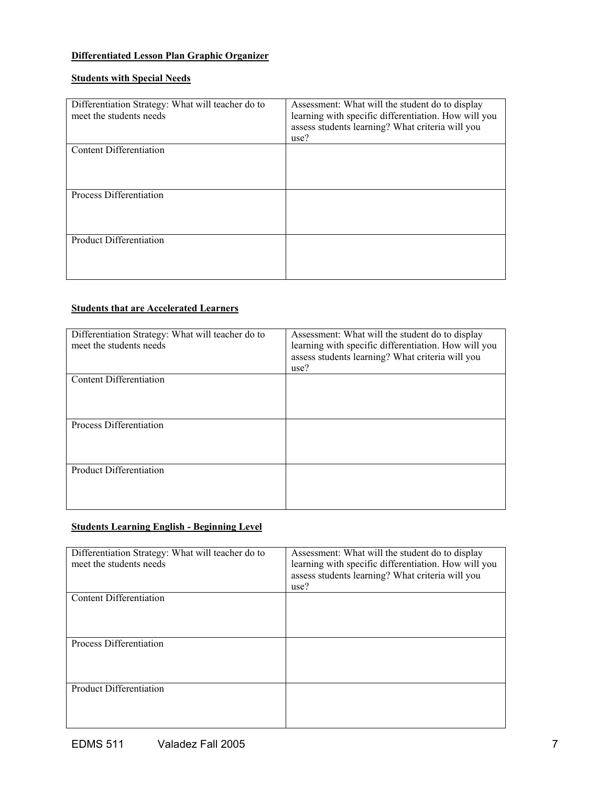## **Differentiated Lesson Plan Graphic Organizer**

# **Students with Special Needs**

| Differentiation Strategy: What will teacher do to<br>meet the students needs | Assessment: What will the student do to display<br>learning with specific differentiation. How will you<br>assess students learning? What criteria will you<br>use? |
|------------------------------------------------------------------------------|---------------------------------------------------------------------------------------------------------------------------------------------------------------------|
| Content Differentiation                                                      |                                                                                                                                                                     |
| Process Differentiation                                                      |                                                                                                                                                                     |
| <b>Product Differentiation</b>                                               |                                                                                                                                                                     |

## **Students that are Accelerated Learners**

| Differentiation Strategy: What will teacher do to<br>meet the students needs | Assessment: What will the student do to display<br>learning with specific differentiation. How will you<br>assess students learning? What criteria will you<br>use? |
|------------------------------------------------------------------------------|---------------------------------------------------------------------------------------------------------------------------------------------------------------------|
| <b>Content Differentiation</b>                                               |                                                                                                                                                                     |
| Process Differentiation                                                      |                                                                                                                                                                     |
| <b>Product Differentiation</b>                                               |                                                                                                                                                                     |

# **Students Learning English - Beginning Level**

| Differentiation Strategy: What will teacher do to<br>meet the students needs | Assessment: What will the student do to display<br>learning with specific differentiation. How will you<br>assess students learning? What criteria will you<br>use? |
|------------------------------------------------------------------------------|---------------------------------------------------------------------------------------------------------------------------------------------------------------------|
| Content Differentiation                                                      |                                                                                                                                                                     |
| Process Differentiation                                                      |                                                                                                                                                                     |
| <b>Product Differentiation</b>                                               |                                                                                                                                                                     |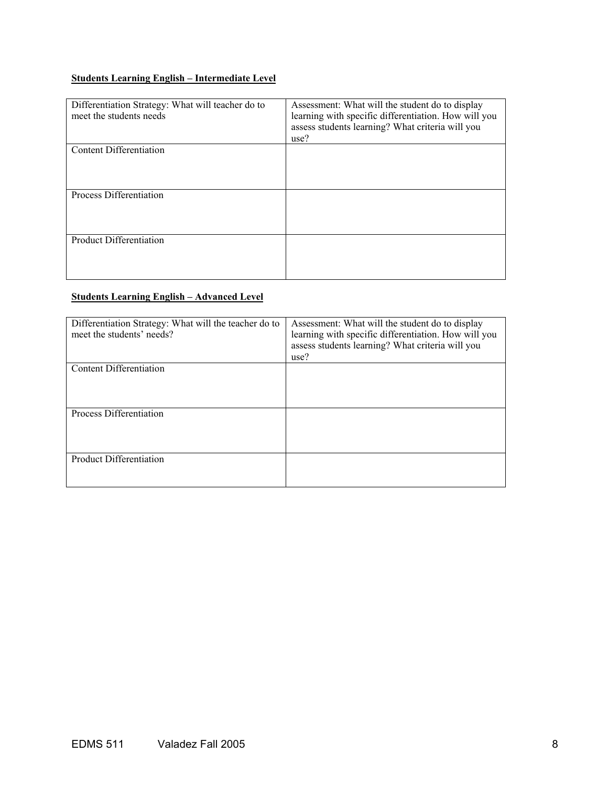# **Students Learning English – Intermediate Level**

| Differentiation Strategy: What will teacher do to<br>meet the students needs | Assessment: What will the student do to display<br>learning with specific differentiation. How will you<br>assess students learning? What criteria will you<br>use? |
|------------------------------------------------------------------------------|---------------------------------------------------------------------------------------------------------------------------------------------------------------------|
| Content Differentiation                                                      |                                                                                                                                                                     |
| Process Differentiation                                                      |                                                                                                                                                                     |
| <b>Product Differentiation</b>                                               |                                                                                                                                                                     |

# **Students Learning English – Advanced Level**

| Differentiation Strategy: What will the teacher do to<br>meet the students' needs? | Assessment: What will the student do to display<br>learning with specific differentiation. How will you<br>assess students learning? What criteria will you<br>use? |
|------------------------------------------------------------------------------------|---------------------------------------------------------------------------------------------------------------------------------------------------------------------|
| Content Differentiation                                                            |                                                                                                                                                                     |
| Process Differentiation                                                            |                                                                                                                                                                     |
| <b>Product Differentiation</b>                                                     |                                                                                                                                                                     |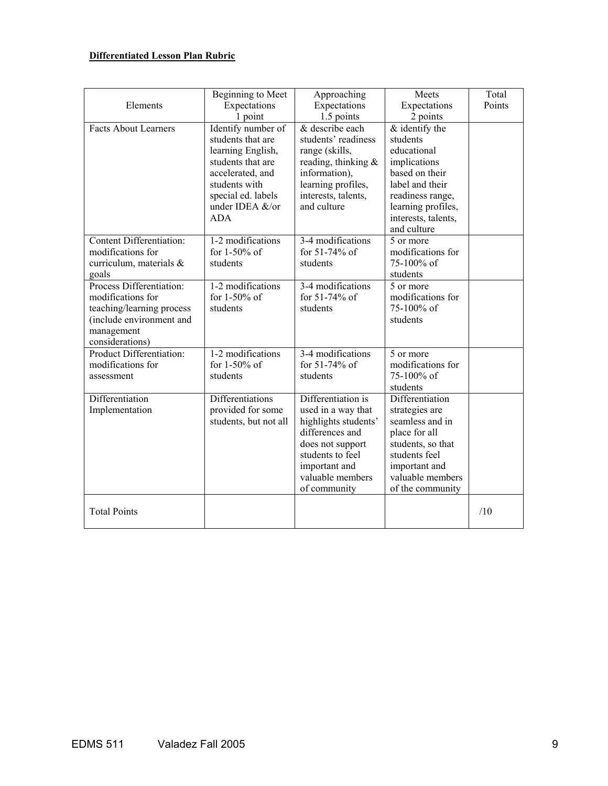# **Differentiated Lesson Plan Rubric**

|                                             | <b>Beginning to Meet</b>          | Approaching                         | Meets                             | Total  |
|---------------------------------------------|-----------------------------------|-------------------------------------|-----------------------------------|--------|
| Elements                                    | Expectations                      | Expectations                        | Expectations                      | Points |
|                                             | 1 point                           | 1.5 points                          | 2 points                          |        |
| <b>Facts About Learners</b>                 | Identify number of                | & describe each                     | $&$ identify the                  |        |
|                                             | students that are                 | students' readiness                 | students                          |        |
|                                             | learning English,                 | range (skills,                      | educational                       |        |
|                                             | students that are                 | reading, thinking $\&$              | implications                      |        |
|                                             | accelerated, and<br>students with | information),<br>learning profiles, | based on their<br>label and their |        |
|                                             | special ed. labels                | interests, talents,                 | readiness range,                  |        |
|                                             | under IDEA &/or                   | and culture                         | learning profiles,                |        |
|                                             | <b>ADA</b>                        |                                     | interests, talents,               |        |
|                                             |                                   |                                     | and culture                       |        |
| Content Differentiation:                    | 1-2 modifications                 | 3-4 modifications                   | 5 or more                         |        |
| modifications for                           | for 1-50% of                      | for 51-74% of                       | modifications for                 |        |
| curriculum, materials &                     | students                          | students                            | 75-100% of                        |        |
| goals                                       |                                   |                                     | students                          |        |
| Process Differentiation:                    | 1-2 modifications                 | 3-4 modifications                   | 5 or more                         |        |
| modifications for                           | for $1-50\%$ of                   | for 51-74% of                       | modifications for                 |        |
| teaching/learning process                   | students                          | students                            | 75-100% of                        |        |
| (include environment and                    |                                   |                                     | students                          |        |
| management                                  |                                   |                                     |                                   |        |
| considerations)<br>Product Differentiation: | 1-2 modifications                 | 3-4 modifications                   | 5 or more                         |        |
| modifications for                           | for $1-50\%$ of                   | for 51-74% of                       | modifications for                 |        |
| assessment                                  | students                          | students                            | 75-100% of                        |        |
|                                             |                                   |                                     | students                          |        |
| Differentiation                             | Differentiations                  | Differentiation is                  | Differentiation                   |        |
| Implementation                              | provided for some                 | used in a way that                  | strategies are                    |        |
|                                             | students, but not all             | highlights students'                | seamless and in                   |        |
|                                             |                                   | differences and                     | place for all                     |        |
|                                             |                                   | does not support                    | students, so that                 |        |
|                                             |                                   | students to feel                    | students feel                     |        |
|                                             |                                   | important and                       | important and                     |        |
|                                             |                                   | valuable members                    | valuable members                  |        |
|                                             |                                   | of community                        | of the community                  |        |
|                                             |                                   |                                     |                                   |        |
| <b>Total Points</b>                         |                                   |                                     |                                   | /10    |
|                                             |                                   |                                     |                                   |        |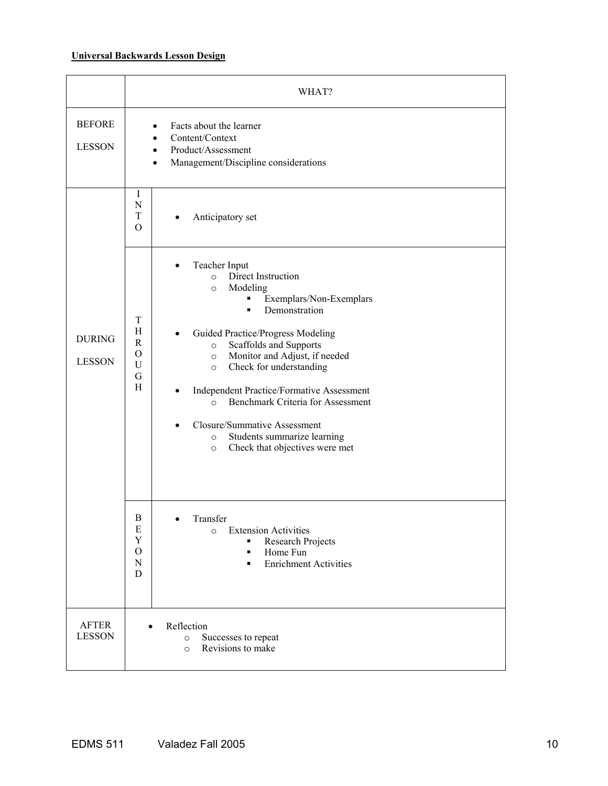# **Universal Backwards Lesson Design**

|                                | WHAT?                                                                                                                                                                                                                                                                                                                                                                                                                                                                                                                                                                                                                  |
|--------------------------------|------------------------------------------------------------------------------------------------------------------------------------------------------------------------------------------------------------------------------------------------------------------------------------------------------------------------------------------------------------------------------------------------------------------------------------------------------------------------------------------------------------------------------------------------------------------------------------------------------------------------|
| <b>BEFORE</b><br><b>LESSON</b> | Facts about the learner<br>$\bullet$<br>Content/Context<br>Product/Assessment<br>$\bullet$<br>Management/Discipline considerations<br>$\bullet$                                                                                                                                                                                                                                                                                                                                                                                                                                                                        |
|                                | Ι<br>$\mathbf N$<br>T<br>Anticipatory set<br>$\Omega$                                                                                                                                                                                                                                                                                                                                                                                                                                                                                                                                                                  |
| <b>DURING</b><br><b>LESSON</b> | Teacher Input<br>Direct Instruction<br>$\circ$<br>Modeling<br>$\circ$<br>Exemplars/Non-Exemplars<br>$\blacksquare$<br>Demonstration<br>$\blacksquare$<br>T<br>H<br>Guided Practice/Progress Modeling<br>$\bullet$<br>R<br>Scaffolds and Supports<br>$\circ$<br>$\Omega$<br>Monitor and Adjust, if needed<br>$\circ$<br>U<br>Check for understanding<br>$\circ$<br>G<br>H<br>Independent Practice/Formative Assessment<br>$\bullet$<br>Benchmark Criteria for Assessment<br>$\circ$<br>Closure/Summative Assessment<br>$\bullet$<br>Students summarize learning<br>$\circ$<br>Check that objectives were met<br>$\circ$ |
|                                | B<br>Transfer<br>E<br><b>Extension Activities</b><br>$\circ$<br>Y<br>Research Projects<br>$\blacksquare$<br>$\mathcal{O}$<br>Home Fun<br>٠<br>${\bf N}$<br><b>Enrichment Activities</b><br>٠<br>D                                                                                                                                                                                                                                                                                                                                                                                                                      |
| <b>AFTER</b><br><b>LESSON</b>  | Reflection<br>Successes to repeat<br>$\circ$<br>Revisions to make<br>$\circ$                                                                                                                                                                                                                                                                                                                                                                                                                                                                                                                                           |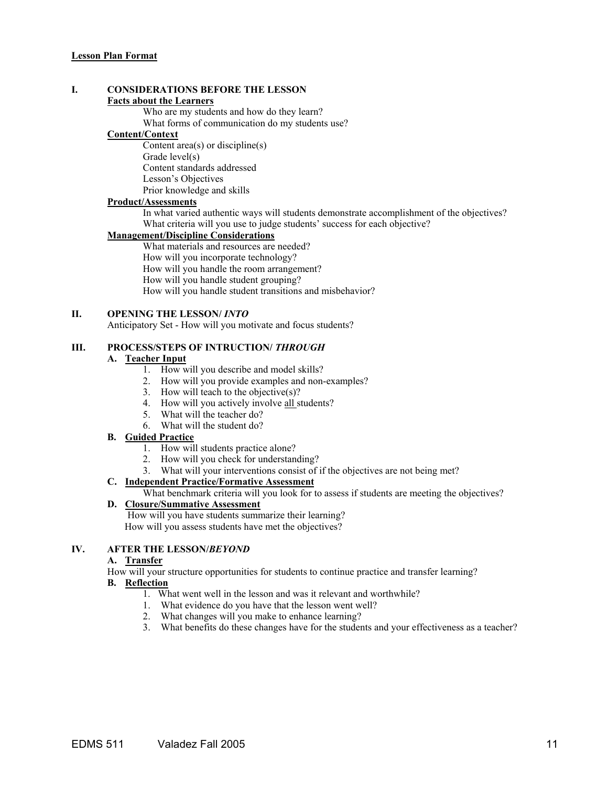# **I. CONSIDERATIONS BEFORE THE LESSON**

#### **Facts about the Learners**

Who are my students and how do they learn?

What forms of communication do my students use?

#### **Content/Context**

Content area(s) or discipline(s) Grade level(s) Content standards addressed

Lesson's Objectives

Prior knowledge and skills

## **Product/Assessments**

In what varied authentic ways will students demonstrate accomplishment of the objectives? What criteria will you use to judge students' success for each objective?

## **Management/Discipline Considerations**

What materials and resources are needed?

How will you incorporate technology?

How will you handle the room arrangement?

How will you handle student grouping?

How will you handle student transitions and misbehavior?

#### **II. OPENING THE LESSON/** *INTO*

Anticipatory Set - How will you motivate and focus students?

## **III. PROCESS/STEPS OF INTRUCTION/ THROUGH**

#### **A. Teacher Input**

- 1. How will you describe and model skills?
- 2. How will you provide examples and non-examples?
- 3. How will teach to the objective(s)?
- 4. How will you actively involve all students?
- 5. What will the teacher do?
- 6. What will the student do?

#### **B. Guided Practice**

- 1. How will students practice alone?
- 2. How will you check for understanding?
- 3. What will your interventions consist of if the objectives are not being met?

#### **C. Independent Practice/Formative Assessment**

What benchmark criteria will you look for to assess if students are meeting the objectives?

## **D. Closure/Summative Assessment**

 How will you have students summarize their learning? How will you assess students have met the objectives?

## **IV. AFTER THE LESSON/***BEYOND*

#### **A. Transfer**

How will your structure opportunities for students to continue practice and transfer learning?

#### **B. Reflection**

- 1. What went well in the lesson and was it relevant and worthwhile?
- 1. What evidence do you have that the lesson went well?
- 2. What changes will you make to enhance learning?
- 3. What benefits do these changes have for the students and your effectiveness as a teacher?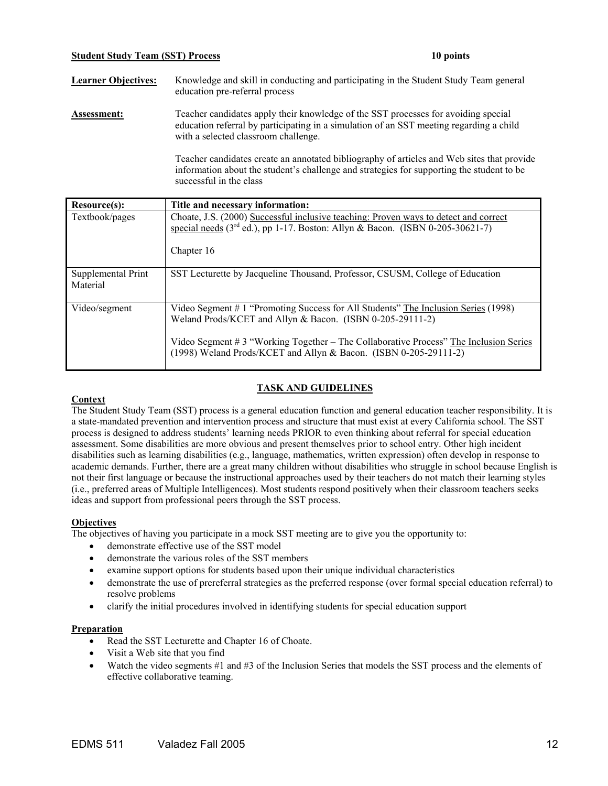#### **Student Study Team (SST) Process 10 points**

**Learner Objectives:** Knowledge and skill in conducting and participating in the Student Study Team general education pre-referral process

Assessment: Teacher candidates apply their knowledge of the SST processes for avoiding special education referral by participating in a simulation of an SST meeting regarding a child with a selected classroom challenge.

> Teacher candidates create an annotated bibliography of articles and Web sites that provide information about the student's challenge and strategies for supporting the student to be successful in the class

| Resource(s):                   | Title and necessary information:                                                                                                                                                                                                                                                                               |
|--------------------------------|----------------------------------------------------------------------------------------------------------------------------------------------------------------------------------------------------------------------------------------------------------------------------------------------------------------|
| Textbook/pages                 | Choate, J.S. (2000) Successful inclusive teaching: Proven ways to detect and correct<br>special needs ( $3rd$ ed.), pp 1-17. Boston: Allyn & Bacon. (ISBN 0-205-30621-7)<br>Chapter 16                                                                                                                         |
| Supplemental Print<br>Material | SST Lecturette by Jacqueline Thousand, Professor, CSUSM, College of Education                                                                                                                                                                                                                                  |
| Video/segment                  | Video Segment # 1 "Promoting Success for All Students" The Inclusion Series (1998)<br>Weland Prods/KCET and Allyn & Bacon. (ISBN 0-205-29111-2)<br>Video Segment # 3 "Working Together $-$ The Collaborative Process" The Inclusion Series<br>(1998) Weland Prods/KCET and Allyn & Bacon. (ISBN 0-205-29111-2) |

## **TASK AND GUIDELINES**

## **Context**

The Student Study Team (SST) process is a general education function and general education teacher responsibility. It is a state-mandated prevention and intervention process and structure that must exist at every California school. The SST process is designed to address students' learning needs PRIOR to even thinking about referral for special education assessment. Some disabilities are more obvious and present themselves prior to school entry. Other high incident disabilities such as learning disabilities (e.g., language, mathematics, written expression) often develop in response to academic demands. Further, there are a great many children without disabilities who struggle in school because English is not their first language or because the instructional approaches used by their teachers do not match their learning styles (i.e., preferred areas of Multiple Intelligences). Most students respond positively when their classroom teachers seeks ideas and support from professional peers through the SST process.

#### **Objectives**

The objectives of having you participate in a mock SST meeting are to give you the opportunity to:

- demonstrate effective use of the SST model
- demonstrate the various roles of the SST members
- examine support options for students based upon their unique individual characteristics
- demonstrate the use of prereferral strategies as the preferred response (over formal special education referral) to resolve problems
- clarify the initial procedures involved in identifying students for special education support

#### **Preparation**

- Read the SST Lecturette and Chapter 16 of Choate.
- Visit a Web site that you find
- Watch the video segments #1 and #3 of the Inclusion Series that models the SST process and the elements of effective collaborative teaming.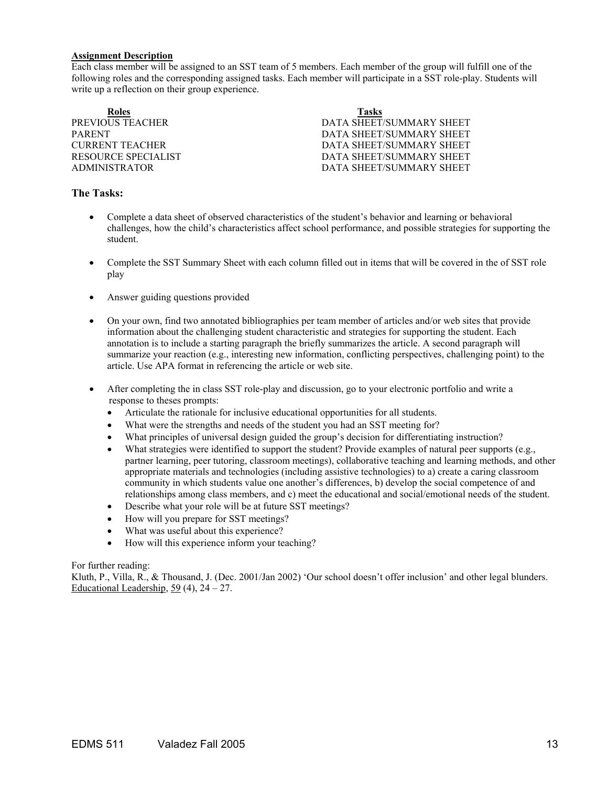#### **Assignment Description**

Each class member will be assigned to an SST team of 5 members. Each member of the group will fulfill one of the following roles and the corresponding assigned tasks. Each member will participate in a SST role-play. Students will write up a reflection on their group experience.

| <b>Tasks</b>             |
|--------------------------|
| DATA SHEET/SUMMARY SHEET |
| DATA SHEET/SUMMARY SHEET |
| DATA SHEET/SUMMARY SHEET |
| DATA SHEET/SUMMARY SHEET |
| DATA SHEET/SUMMARY SHEET |
|                          |

## **The Tasks:**

- Complete a data sheet of observed characteristics of the student's behavior and learning or behavioral challenges, how the child's characteristics affect school performance, and possible strategies for supporting the student.
- Complete the SST Summary Sheet with each column filled out in items that will be covered in the of SST role play
- Answer guiding questions provided
- On your own, find two annotated bibliographies per team member of articles and/or web sites that provide information about the challenging student characteristic and strategies for supporting the student. Each annotation is to include a starting paragraph the briefly summarizes the article. A second paragraph will summarize your reaction (e.g., interesting new information, conflicting perspectives, challenging point) to the article. Use APA format in referencing the article or web site.
- After completing the in class SST role-play and discussion, go to your electronic portfolio and write a response to theses prompts:
	- Articulate the rationale for inclusive educational opportunities for all students.
	- What were the strengths and needs of the student you had an SST meeting for?
	- What principles of universal design guided the group's decision for differentiating instruction?
	- What strategies were identified to support the student? Provide examples of natural peer supports (e.g., partner learning, peer tutoring, classroom meetings), collaborative teaching and learning methods, and other appropriate materials and technologies (including assistive technologies) to a) create a caring classroom community in which students value one another's differences, b) develop the social competence of and relationships among class members, and c) meet the educational and social/emotional needs of the student.
	- Describe what your role will be at future SST meetings?
	- How will you prepare for SST meetings?
	- What was useful about this experience?
	- How will this experience inform your teaching?

#### For further reading:

Kluth, P., Villa, R., & Thousand, J. (Dec. 2001/Jan 2002) 'Our school doesn't offer inclusion' and other legal blunders. Educational Leadership, 59 (4),  $24 - 27$ .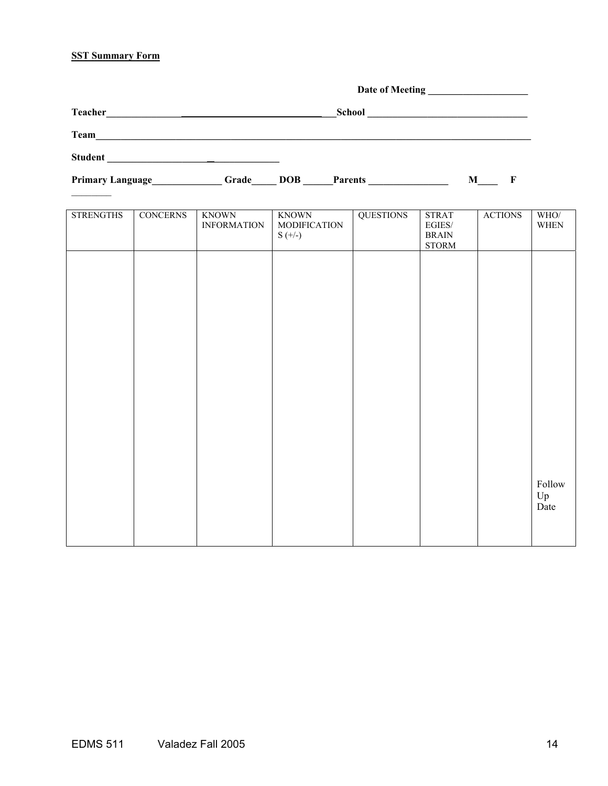# **SST Summary Form**

| <b>Teacher</b>   |                 | <u> 1980 - Jan Samuel Barbara, martin da shekara 1980 - An tsara 1980 - An tsara 1980 - An tsara 1980 - An tsara</u> |              | School           |              |                |     |
|------------------|-----------------|----------------------------------------------------------------------------------------------------------------------|--------------|------------------|--------------|----------------|-----|
| Team             |                 |                                                                                                                      |              |                  |              |                |     |
| <b>Student</b>   |                 | <u> 대한 대학 대학 대학 대학 대학 대학 대학</u>                                                                                      |              |                  |              |                |     |
| Primary Language |                 | Grade                                                                                                                | <b>DOB</b>   | <b>Parents</b>   |              | M F            |     |
|                  |                 |                                                                                                                      |              |                  |              |                |     |
| <b>STRENGTHS</b> | <b>CONCERNS</b> | <b>KNOWN</b>                                                                                                         | <b>KNOWN</b> | <b>OUESTIONS</b> | <b>STRAT</b> | <b>ACTIONS</b> | - V |

| <b>STRENGTHS</b> | <b>CONCERNS</b> | <b>KNOWN</b><br><b>INFORMATION</b> | <b>KNOWN</b><br><b>MODIFICATION</b><br>$S (+/-)$ | <b>QUESTIONS</b> | <b>STRAT</b><br>$\rm EGIES/$<br>$\operatorname{BRAIN}$<br>$\operatorname{STORM}$ | <b>ACTIONS</b> | WHO/<br><b>WHEN</b>  |
|------------------|-----------------|------------------------------------|--------------------------------------------------|------------------|----------------------------------------------------------------------------------|----------------|----------------------|
|                  |                 |                                    |                                                  |                  |                                                                                  |                |                      |
|                  |                 |                                    |                                                  |                  |                                                                                  |                |                      |
|                  |                 |                                    |                                                  |                  |                                                                                  |                |                      |
|                  |                 |                                    |                                                  |                  |                                                                                  |                |                      |
|                  |                 |                                    |                                                  |                  |                                                                                  |                |                      |
|                  |                 |                                    |                                                  |                  |                                                                                  |                |                      |
|                  |                 |                                    |                                                  |                  |                                                                                  |                | Follow<br>Up<br>Date |
|                  |                 |                                    |                                                  |                  |                                                                                  |                |                      |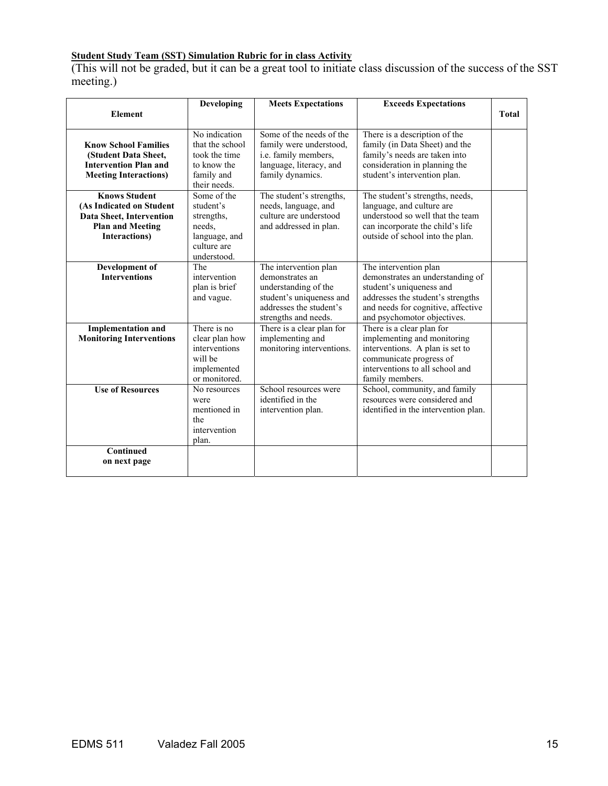## **Student Study Team (SST) Simulation Rubric for in class Activity**

(This will not be graded, but it can be a great tool to initiate class discussion of the success of the SST meeting.)

|                                                                                                                                  | <b>Developing</b>                                                                               | <b>Meets Expectations</b>                                                                                                                       | <b>Exceeds Expectations</b>                                                                                                                                                                     |              |
|----------------------------------------------------------------------------------------------------------------------------------|-------------------------------------------------------------------------------------------------|-------------------------------------------------------------------------------------------------------------------------------------------------|-------------------------------------------------------------------------------------------------------------------------------------------------------------------------------------------------|--------------|
| <b>Element</b>                                                                                                                   |                                                                                                 |                                                                                                                                                 |                                                                                                                                                                                                 | <b>Total</b> |
| <b>Know School Families</b><br>(Student Data Sheet,<br><b>Intervention Plan and</b><br><b>Meeting Interactions)</b>              | No indication<br>that the school<br>took the time<br>to know the<br>family and<br>their needs.  | Some of the needs of the<br>family were understood.<br>i.e. family members,<br>language, literacy, and<br>family dynamics.                      | There is a description of the<br>family (in Data Sheet) and the<br>family's needs are taken into<br>consideration in planning the<br>student's intervention plan.                               |              |
| <b>Knows Student</b><br>(As Indicated on Student<br>Data Sheet, Intervention<br><b>Plan and Meeting</b><br><b>Interactions</b> ) | Some of the<br>student's<br>strengths,<br>needs.<br>language, and<br>culture are<br>understood. | The student's strengths,<br>needs, language, and<br>culture are understood<br>and addressed in plan.                                            | The student's strengths, needs,<br>language, and culture are<br>understood so well that the team<br>can incorporate the child's life<br>outside of school into the plan.                        |              |
| Development of<br><b>Interventions</b>                                                                                           | The<br>intervention<br>plan is brief<br>and vague.                                              | The intervention plan<br>demonstrates an<br>understanding of the<br>student's uniqueness and<br>addresses the student's<br>strengths and needs. | The intervention plan<br>demonstrates an understanding of<br>student's uniqueness and<br>addresses the student's strengths<br>and needs for cognitive, affective<br>and psychomotor objectives. |              |
| <b>Implementation and</b><br><b>Monitoring Interventions</b>                                                                     | There is no<br>clear plan how<br>interventions<br>will be<br>implemented<br>or monitored.       | There is a clear plan for<br>implementing and<br>monitoring interventions.                                                                      | There is a clear plan for<br>implementing and monitoring<br>interventions. A plan is set to<br>communicate progress of<br>interventions to all school and<br>family members.                    |              |
| <b>Use of Resources</b>                                                                                                          | No resources<br>were<br>mentioned in<br>the<br>intervention<br>plan.                            | School resources were<br>identified in the<br>intervention plan.                                                                                | School, community, and family<br>resources were considered and<br>identified in the intervention plan.                                                                                          |              |
| Continued<br>on next page                                                                                                        |                                                                                                 |                                                                                                                                                 |                                                                                                                                                                                                 |              |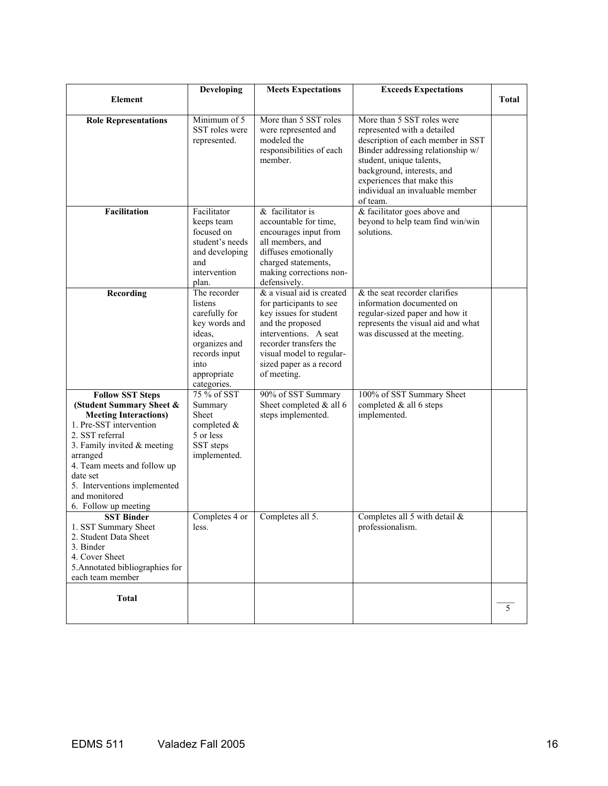|                                                                                                                                                                                                                                                                                                  | Developing                                                                                                                                  | <b>Meets Expectations</b>                                                                                                                                                                                                   | <b>Exceeds Expectations</b>                                                                                                                                                                                                                                                |              |
|--------------------------------------------------------------------------------------------------------------------------------------------------------------------------------------------------------------------------------------------------------------------------------------------------|---------------------------------------------------------------------------------------------------------------------------------------------|-----------------------------------------------------------------------------------------------------------------------------------------------------------------------------------------------------------------------------|----------------------------------------------------------------------------------------------------------------------------------------------------------------------------------------------------------------------------------------------------------------------------|--------------|
| <b>Element</b>                                                                                                                                                                                                                                                                                   |                                                                                                                                             |                                                                                                                                                                                                                             |                                                                                                                                                                                                                                                                            | <b>Total</b> |
| <b>Role Representations</b>                                                                                                                                                                                                                                                                      | Minimum of 5<br>SST roles were<br>represented.                                                                                              | More than 5 SST roles<br>were represented and<br>modeled the<br>responsibilities of each<br>member.                                                                                                                         | More than 5 SST roles were<br>represented with a detailed<br>description of each member in SST<br>Binder addressing relationship w/<br>student, unique talents,<br>background, interests, and<br>experiences that make this<br>individual an invaluable member<br>of team. |              |
| <b>Facilitation</b>                                                                                                                                                                                                                                                                              | Facilitator<br>keeps team<br>focused on<br>student's needs<br>and developing<br>and<br>intervention<br>plan.                                | & facilitator is<br>accountable for time,<br>encourages input from<br>all members, and<br>diffuses emotionally<br>charged statements,<br>making corrections non-<br>defensively.                                            | & facilitator goes above and<br>beyond to help team find win/win<br>solutions.                                                                                                                                                                                             |              |
| Recording                                                                                                                                                                                                                                                                                        | The recorder<br>listens<br>carefully for<br>key words and<br>ideas.<br>organizes and<br>records input<br>into<br>appropriate<br>categories. | & a visual aid is created<br>for participants to see<br>key issues for student<br>and the proposed<br>interventions. A seat<br>recorder transfers the<br>visual model to regular-<br>sized paper as a record<br>of meeting. | & the seat recorder clarifies<br>information documented on<br>regular-sized paper and how it<br>represents the visual aid and what<br>was discussed at the meeting.                                                                                                        |              |
| <b>Follow SST Steps</b><br>(Student Summary Sheet &<br><b>Meeting Interactions)</b><br>1. Pre-SST intervention<br>2. SST referral<br>3. Family invited & meeting<br>arranged<br>4. Team meets and follow up<br>date set<br>5. Interventions implemented<br>and monitored<br>6. Follow up meeting | 75 % of SST<br>Summary<br><b>Sheet</b><br>completed &<br>5 or less<br>SST steps<br>implemented.                                             | 90% of SST Summary<br>Sheet completed & all 6<br>steps implemented.                                                                                                                                                         | 100% of SST Summary Sheet<br>completed & all 6 steps<br>implemented.                                                                                                                                                                                                       |              |
| <b>SST Binder</b><br>1. SST Summary Sheet<br>2. Student Data Sheet<br>3. Binder<br>4. Cover Sheet<br>5. Annotated bibliographies for<br>each team member                                                                                                                                         | Completes 4 or<br>less.                                                                                                                     | Completes all 5.                                                                                                                                                                                                            | Completes all 5 with detail &<br>professionalism.                                                                                                                                                                                                                          |              |
| <b>Total</b>                                                                                                                                                                                                                                                                                     |                                                                                                                                             |                                                                                                                                                                                                                             |                                                                                                                                                                                                                                                                            | 5            |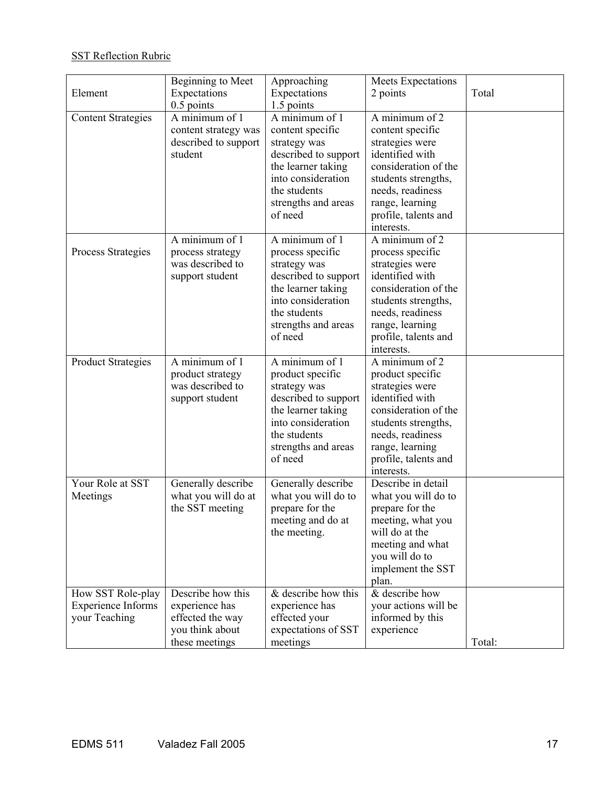# **SST Reflection Rubric**

|                           | Beginning to Meet    | Approaching           | Meets Expectations   |        |
|---------------------------|----------------------|-----------------------|----------------------|--------|
| Element                   | Expectations         | Expectations          | 2 points             | Total  |
|                           | $0.5$ points         | 1.5 points            |                      |        |
| <b>Content Strategies</b> | A minimum of 1       | A minimum of 1        | A minimum of $2$     |        |
|                           | content strategy was | content specific      | content specific     |        |
|                           | described to support | strategy was          | strategies were      |        |
|                           | student              | described to support  | identified with      |        |
|                           |                      | the learner taking    | consideration of the |        |
|                           |                      | into consideration    | students strengths,  |        |
|                           |                      | the students          | needs, readiness     |        |
|                           |                      | strengths and areas   | range, learning      |        |
|                           |                      | of need               | profile, talents and |        |
|                           |                      |                       | interests.           |        |
|                           | A minimum of 1       | A minimum of 1        | A minimum of $2$     |        |
| Process Strategies        | process strategy     | process specific      | process specific     |        |
|                           | was described to     | strategy was          | strategies were      |        |
|                           | support student      | described to support  | identified with      |        |
|                           |                      | the learner taking    | consideration of the |        |
|                           |                      | into consideration    | students strengths,  |        |
|                           |                      | the students          | needs, readiness     |        |
|                           |                      | strengths and areas   | range, learning      |        |
|                           |                      | of need               | profile, talents and |        |
|                           |                      |                       | interests.           |        |
| <b>Product Strategies</b> | A minimum of 1       | A minimum of 1        | A minimum of 2       |        |
|                           | product strategy     | product specific      | product specific     |        |
|                           | was described to     | strategy was          | strategies were      |        |
|                           | support student      | described to support  | identified with      |        |
|                           |                      | the learner taking    | consideration of the |        |
|                           |                      | into consideration    | students strengths,  |        |
|                           |                      | the students          | needs, readiness     |        |
|                           |                      | strengths and areas   | range, learning      |        |
|                           |                      | of need               | profile, talents and |        |
|                           |                      |                       | interests.           |        |
| Your Role at SST          | Generally describe   | Generally describe    | Describe in detail   |        |
| Meetings                  | what you will do at  | what you will do to   | what you will do to  |        |
|                           | the SST meeting      | prepare for the       | prepare for the      |        |
|                           |                      | meeting and do at     | meeting, what you    |        |
|                           |                      | the meeting.          | will do at the       |        |
|                           |                      |                       | meeting and what     |        |
|                           |                      |                       | you will do to       |        |
|                           |                      |                       | implement the SST    |        |
|                           |                      |                       | plan.                |        |
| How SST Role-play         | Describe how this    | $&$ describe how this | & describe how       |        |
| <b>Experience Informs</b> | experience has       | experience has        | your actions will be |        |
| your Teaching             | effected the way     | effected your         | informed by this     |        |
|                           | you think about      | expectations of SST   | experience           |        |
|                           | these meetings       | meetings              |                      | Total: |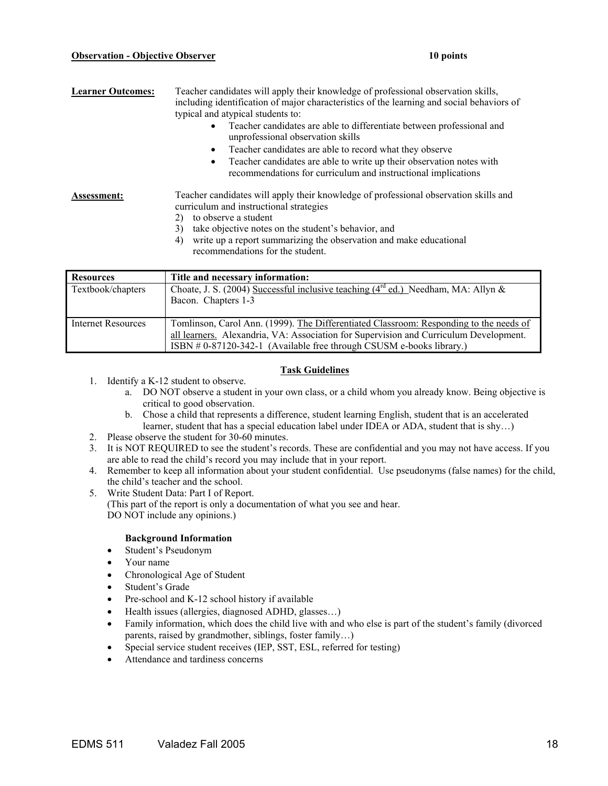#### **Observation - Objective Observer 10 points** 10 points

| <b>Learner Outcomes:</b> | Teacher candidates will apply their knowledge of professional observation skills,<br>including identification of major characteristics of the learning and social behaviors of<br>typical and atypical students to:<br>Teacher candidates are able to differentiate between professional and<br>$\bullet$<br>unprofessional observation skills<br>Teacher candidates are able to record what they observe<br>$\bullet$<br>Teacher candidates are able to write up their observation notes with<br>$\bullet$<br>recommendations for curriculum and instructional implications |
|--------------------------|------------------------------------------------------------------------------------------------------------------------------------------------------------------------------------------------------------------------------------------------------------------------------------------------------------------------------------------------------------------------------------------------------------------------------------------------------------------------------------------------------------------------------------------------------------------------------|
| <b>Assessment:</b>       | Teacher candidates will apply their knowledge of professional observation skills and<br>curriculum and instructional strategies<br>to observe a student<br>2)<br>take objective notes on the student's behavior, and<br>3)<br>write up a report summarizing the observation and make educational<br>4)<br>recommendations for the student.                                                                                                                                                                                                                                   |

| <b>Resources</b>   | Title and necessary information:                                                        |
|--------------------|-----------------------------------------------------------------------------------------|
| Textbook/chapters  | Choate, J. S. (2004) Successful inclusive teaching ( $4^{rd}$ ed.) Needham, MA: Allyn & |
|                    | Bacon. Chapters 1-3                                                                     |
|                    |                                                                                         |
| Internet Resources | Tomlinson, Carol Ann. (1999). The Differentiated Classroom: Responding to the needs of  |
|                    | all learners. Alexandria, VA: Association for Supervision and Curriculum Development.   |
|                    | ISBN # 0-87120-342-1 (Available free through CSUSM e-books library.)                    |

## **Task Guidelines**

- 1. Identify a K-12 student to observe.
	- a. DO NOT observe a student in your own class, or a child whom you already know. Being objective is critical to good observation.
	- b. Chose a child that represents a difference, student learning English, student that is an accelerated learner, student that has a special education label under IDEA or ADA, student that is shy…)
- 2. Please observe the student for 30-60 minutes.
- 3. It is NOT REQUIRED to see the student's records. These are confidential and you may not have access. If you are able to read the child's record you may include that in your report.
- 4. Remember to keep all information about your student confidential. Use pseudonyms (false names) for the child, the child's teacher and the school.
- 5. Write Student Data: Part I of Report. (This part of the report is only a documentation of what you see and hear. DO NOT include any opinions.)

#### **Background Information**

- Student's Pseudonym
- Your name
- Chronological Age of Student
- Student's Grade
- Pre-school and K-12 school history if available
- Health issues (allergies, diagnosed ADHD, glasses…)
- Family information, which does the child live with and who else is part of the student's family (divorced parents, raised by grandmother, siblings, foster family…)
- Special service student receives (IEP, SST, ESL, referred for testing)
- Attendance and tardiness concerns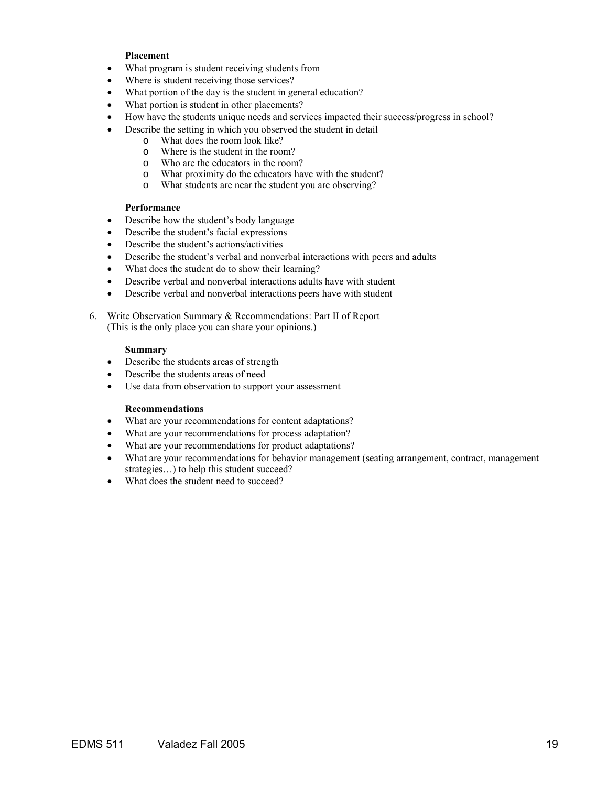#### **Placement**

- What program is student receiving students from
- Where is student receiving those services?
- What portion of the day is the student in general education?
- What portion is student in other placements?
- How have the students unique needs and services impacted their success/progress in school?
	- Describe the setting in which you observed the student in detail
		- o What does the room look like?
		- o Where is the student in the room?
		- o Who are the educators in the room?
		- o What proximity do the educators have with the student?
		- o What students are near the student you are observing?

#### **Performance**

- Describe how the student's body language
- Describe the student's facial expressions
- Describe the student's actions/activities
- Describe the student's verbal and nonverbal interactions with peers and adults
- What does the student do to show their learning?
- Describe verbal and nonverbal interactions adults have with student
- Describe verbal and nonverbal interactions peers have with student

6. Write Observation Summary & Recommendations: Part II of Report (This is the only place you can share your opinions.)

#### **Summary**

- Describe the students areas of strength
- Describe the students areas of need
- Use data from observation to support your assessment

#### **Recommendations**

- What are your recommendations for content adaptations?
- What are your recommendations for process adaptation?
- What are your recommendations for product adaptations?
- What are your recommendations for behavior management (seating arrangement, contract, management strategies...) to help this student succeed?
- What does the student need to succeed?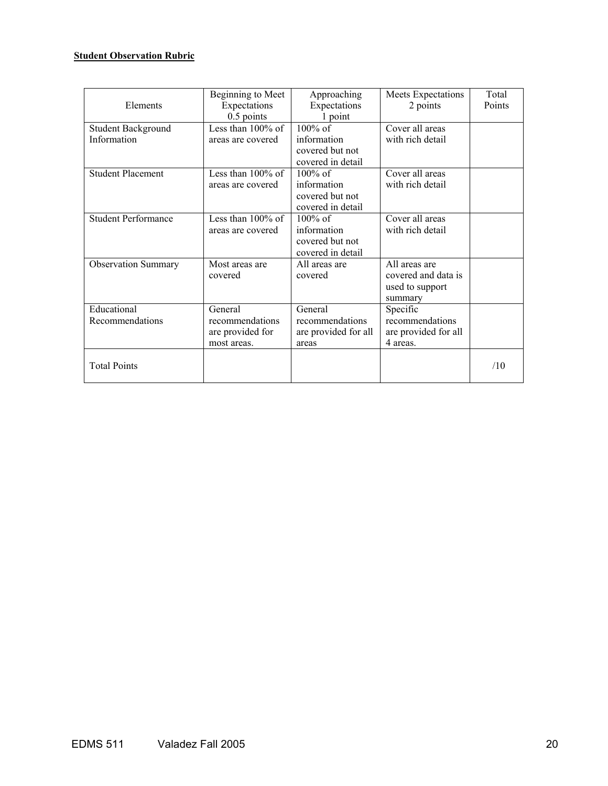## **Student Observation Rubric**

|                            | Beginning to Meet    | Approaching          | Meets Expectations   | Total  |
|----------------------------|----------------------|----------------------|----------------------|--------|
| Elements                   | Expectations         | Expectations         | 2 points             | Points |
|                            | $0.5$ points         | 1 point              |                      |        |
| Student Background         | Less than $100\%$ of | $100\%$ of           | Cover all areas      |        |
| Information                | areas are covered    | information          | with rich detail     |        |
|                            |                      | covered but not      |                      |        |
|                            |                      | covered in detail    |                      |        |
| <b>Student Placement</b>   | Less than $100\%$ of | $100\%$ of           | Cover all areas      |        |
|                            | areas are covered    | information          | with rich detail     |        |
|                            |                      | covered but not      |                      |        |
|                            |                      | covered in detail    |                      |        |
| <b>Student Performance</b> | Less than $100\%$ of | $100\%$ of           | Cover all areas      |        |
|                            | areas are covered    | information          | with rich detail     |        |
|                            |                      | covered but not      |                      |        |
|                            |                      | covered in detail    |                      |        |
| <b>Observation Summary</b> | Most areas are       | All areas are        | All areas are        |        |
|                            | covered              | covered              | covered and data is  |        |
|                            |                      |                      | used to support      |        |
|                            |                      |                      | summary              |        |
| Educational                | General              | General              | Specific             |        |
| Recommendations            | recommendations      | recommendations      | recommendations      |        |
|                            | are provided for     | are provided for all | are provided for all |        |
|                            | most areas.          | areas                | 4 areas.             |        |
|                            |                      |                      |                      |        |
| <b>Total Points</b>        |                      |                      |                      | /10    |
|                            |                      |                      |                      |        |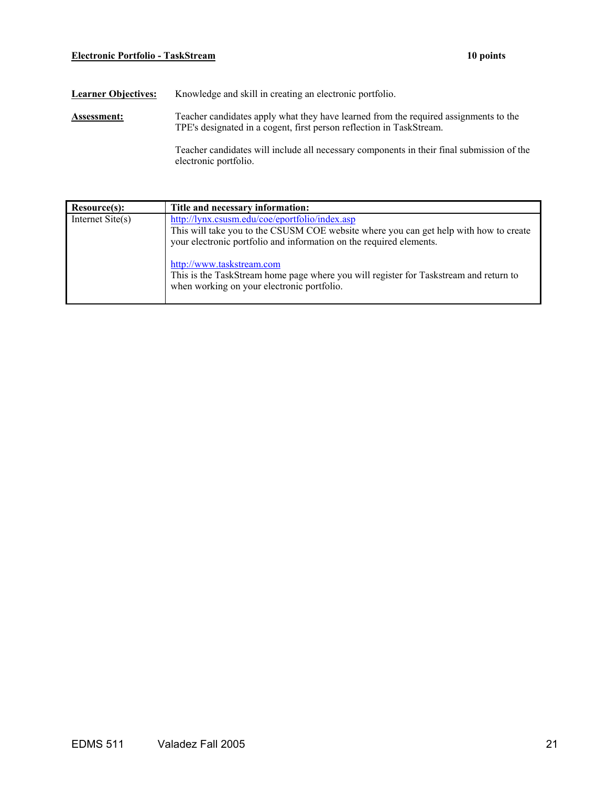## **Electronic Portfolio - TaskStream 10 points**

| <b>Learner Objectives:</b> | Knowledge and skill in creating an electronic portfolio. |  |  |  |  |  |  |  |  |
|----------------------------|----------------------------------------------------------|--|--|--|--|--|--|--|--|
|                            |                                                          |  |  |  |  |  |  |  |  |

Assessment: Teacher candidates apply what they have learned from the required assignments to the TPE's designated in a cogent, first person reflection in TaskStream.

> Teacher candidates will include all necessary components in their final submission of the electronic portfolio.

| Resource(s):              | Title and necessary information:                                                                                                                                                                                                                                                                                                                                                   |
|---------------------------|------------------------------------------------------------------------------------------------------------------------------------------------------------------------------------------------------------------------------------------------------------------------------------------------------------------------------------------------------------------------------------|
| Internet $\text{Site}(s)$ | http://lynx.csusm.edu/coe/eportfolio/index.asp<br>This will take you to the CSUSM COE website where you can get help with how to create<br>your electronic portfolio and information on the required elements.<br>http://www.taskstream.com<br>This is the TaskStream home page where you will register for Taskstream and return to<br>when working on your electronic portfolio. |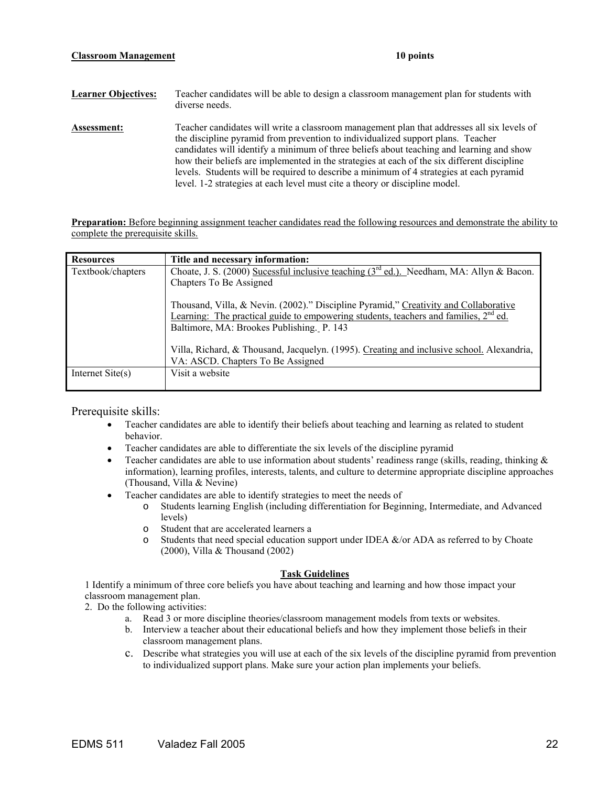| <b>Learner Objectives:</b> | Teacher candidates will be able to design a classroom management plan for students with<br>diverse needs.                                                                                                                                                                                                                                                                                                                                                                                                                                          |
|----------------------------|----------------------------------------------------------------------------------------------------------------------------------------------------------------------------------------------------------------------------------------------------------------------------------------------------------------------------------------------------------------------------------------------------------------------------------------------------------------------------------------------------------------------------------------------------|
| Assessment:                | Teacher candidates will write a classroom management plan that addresses all six levels of<br>the discipline pyramid from prevention to individualized support plans. Teacher<br>candidates will identify a minimum of three beliefs about teaching and learning and show<br>how their beliefs are implemented in the strategies at each of the six different discipline<br>levels. Students will be required to describe a minimum of 4 strategies at each pyramid<br>level. 1-2 strategies at each level must cite a theory or discipline model. |

**Preparation:** Before beginning assignment teacher candidates read the following resources and demonstrate the ability to complete the prerequisite skills.

| <b>Resources</b>          | Title and necessary information:                                                              |
|---------------------------|-----------------------------------------------------------------------------------------------|
| Textbook/chapters         | Choate, J. S. (2000) Sucessful inclusive teaching $3rd$ ed.). Needham, MA: Allyn & Bacon.     |
|                           | Chapters To Be Assigned                                                                       |
|                           |                                                                                               |
|                           | Thousand, Villa, & Nevin. (2002)." Discipline Pyramid," Creativity and Collaborative          |
|                           | <u>Learning:</u> The practical guide to empowering students, teachers and families, $2nd$ ed. |
|                           | Baltimore, MA: Brookes Publishing. P. 143                                                     |
|                           |                                                                                               |
|                           | Villa, Richard, & Thousand, Jacquelyn. (1995). Creating and inclusive school. Alexandria,     |
|                           | VA: ASCD. Chapters To Be Assigned                                                             |
| Internet $\text{Site}(s)$ | Visit a website                                                                               |
|                           |                                                                                               |

Prerequisite skills:

- Teacher candidates are able to identify their beliefs about teaching and learning as related to student behavior.
- Teacher candidates are able to differentiate the six levels of the discipline pyramid
- Teacher candidates are able to use information about students' readiness range (skills, reading, thinking  $\&$ information), learning profiles, interests, talents, and culture to determine appropriate discipline approaches (Thousand, Villa & Nevine)
- Teacher candidates are able to identify strategies to meet the needs of
	- o Students learning English (including differentiation for Beginning, Intermediate, and Advanced levels)
	- o Student that are accelerated learners a
	- $\circ$  Students that need special education support under IDEA &/or ADA as referred to by Choate (2000), Villa & Thousand (2002)

#### **Task Guidelines**

1 Identify a minimum of three core beliefs you have about teaching and learning and how those impact your classroom management plan.

2. Do the following activities:

- a. Read 3 or more discipline theories/classroom management models from texts or websites.
- b. Interview a teacher about their educational beliefs and how they implement those beliefs in their classroom management plans.
- c. Describe what strategies you will use at each of the six levels of the discipline pyramid from prevention to individualized support plans. Make sure your action plan implements your beliefs.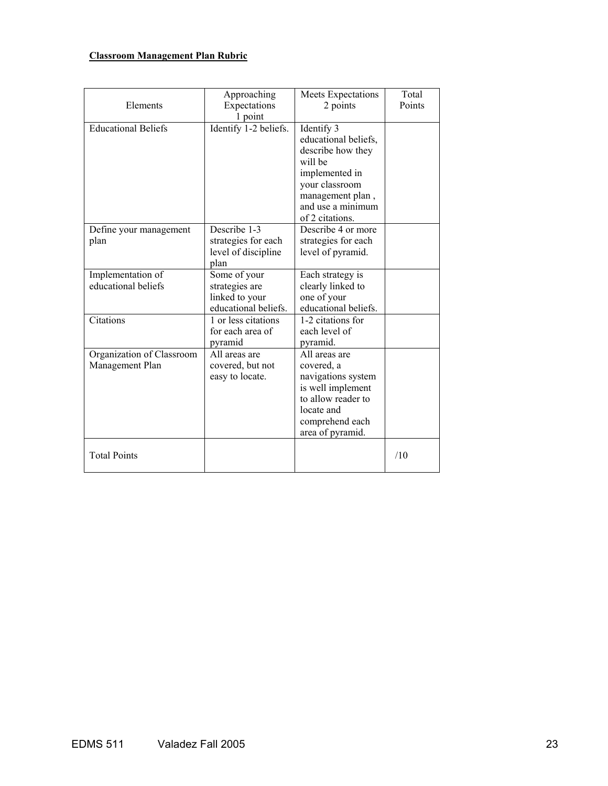# **Classroom Management Plan Rubric**

| Elements                                     | Approaching<br>Expectations<br>1 point                                   | Meets Expectations<br>2 points                                                                                                                                     | Total<br>Points |
|----------------------------------------------|--------------------------------------------------------------------------|--------------------------------------------------------------------------------------------------------------------------------------------------------------------|-----------------|
| <b>Educational Beliefs</b>                   | Identify 1-2 beliefs.                                                    | Identify 3<br>educational beliefs,<br>describe how they<br>will be<br>implemented in<br>your classroom<br>management plan,<br>and use a minimum<br>of 2 citations. |                 |
| Define your management<br>plan               | Describe 1-3<br>strategies for each<br>level of discipline<br>plan       | Describe 4 or more<br>strategies for each<br>level of pyramid.                                                                                                     |                 |
| Implementation of<br>educational beliefs     | Some of your<br>strategies are<br>linked to your<br>educational beliefs. | Each strategy is<br>clearly linked to<br>one of your<br>educational beliefs.                                                                                       |                 |
| Citations                                    | 1 or less citations<br>for each area of<br>pyramid                       | 1-2 citations for<br>each level of<br>pyramid.                                                                                                                     |                 |
| Organization of Classroom<br>Management Plan | All areas are<br>covered, but not<br>easy to locate.                     | All areas are<br>covered, a<br>navigations system<br>is well implement<br>to allow reader to<br>locate and<br>comprehend each<br>area of pyramid.                  |                 |
| <b>Total Points</b>                          |                                                                          |                                                                                                                                                                    | /10             |